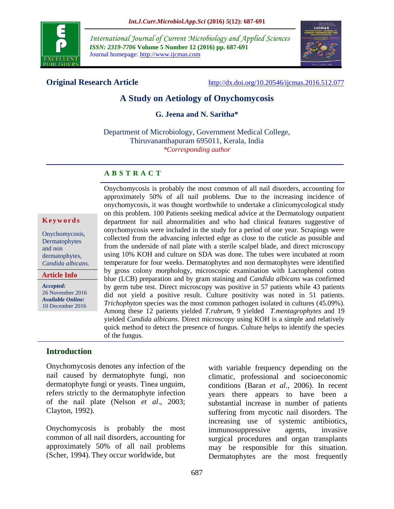

*International Journal of Current Microbiology and Applied Sciences ISSN: 2319-7706* **Volume 5 Number 12 (2016) pp. 687-691** Journal homepage: http://www.ijcmas.com



**Original Research Article** <http://dx.doi.org/10.20546/ijcmas.2016.512.077>

# **A Study on Aetiology of Onychomycosis**

**G. Jeena and N. Saritha\***

Department of Microbiology, Government Medical College, Thiruvananthapuram 695011, Kerala, India *\*Corresponding author*

#### **A B S T R A C T**

#### **K e y w o r d s**

Onychomycosis, Dermatophytes and non dermatophytes, *Candida albicans.*

**Article Info**

*Accepted:*  26 November 2016 *Available Online:* 10 December 2016

Onychomycosis is probably the most common of all nail disorders, accounting for approximately 50% of all nail problems. Due to the increasing incidence of onychomycosis, it was thought worthwhile to undertake a clinicomycological study on this problem. 100 Patients seeking medical advice at the Dermatology outpatient department for nail abnormalities and who had clinical features suggestive of onychomycosis were included in the study for a period of one year. Scrapings were collected from the advancing infected edge as close to the cuticle as possible and from the underside of nail plate with a sterile scalpel blade, and direct microscopy using 10% KOH and culture on SDA was done. The tubes were incubated at room temperature for four weeks. Dermatophytes and non dermatophytes were identified by gross colony morphology, microscopic examination with Lactophenol cotton blue (LCB) preparation and by gram staining and *Candida albicans* was confirmed by germ tube test. Direct microscopy was positive in 57 patients while 43 patients did not yield a positive result. Culture positivity was noted in 51 patients. *Trichophyton* species was the most common pathogen isolated in cultures (45.09%). Among these 12 patients yielded *T.rubrum*, 9 yielded *T.mentagrophytes* and 19 yielded *Candida albicans*. Direct microscopy using KOH is a simple and relatively quick method to detect the presence of fungus. Culture helps to identify the species of the fungus.

## **Introduction**

Onychomycosis denotes any infection of the nail caused by dermatophyte fungi, non dermatophyte fungi or yeasts. Tinea unguim, refers strictly to the dermatophyte infection of the nail plate (Nelson *et al*., 2003; Clayton, 1992).

Onychomycosis is probably the most common of all nail disorders, accounting for approximately 50% of all nail problems (Scher, 1994). They occur worldwide, but

with variable frequency depending on the climatic, professional and socioeconomic conditions (Baran *et al*., 2006). In recent years there appears to have been a substantial increase in number of patients suffering from mycotic nail disorders. The increasing use of systemic antibiotics, immunosuppressive agents, invasive surgical procedures and organ transplants may be responsible for this situation. Dermatophytes are the most frequently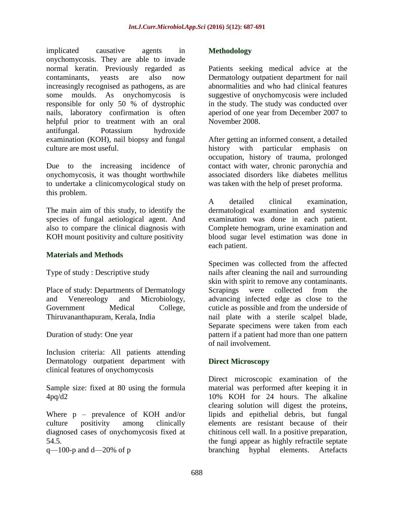implicated causative agents in onychomycosis. They are able to invade normal keratin. Previously regarded as contaminants, yeasts are also now increasingly recognised as pathogens, as are some moulds. As onychomycosis is responsible for only 50 % of dystrophic nails, laboratory confirmation is often helpful prior to treatment with an oral antifungal. Potassium hydroxide examination (KOH), nail biopsy and fungal culture are most useful.

Due to the increasing incidence of onychomycosis, it was thought worthwhile to undertake a clinicomycological study on this problem.

The main aim of this study, to identify the species of fungal aetiological agent. And also to compare the clinical diagnosis with KOH mount positivity and culture positivity

## **Materials and Methods**

Type of study : Descriptive study

Place of study: Departments of Dermatology and Venereology and Microbiology, Government Medical College, Thiruvananthapuram, Kerala, India

Duration of study: One year

Inclusion criteria: All patients attending Dermatology outpatient department with clinical features of onychomycosis

Sample size: fixed at 80 using the formula 4pq/d2

Where p – prevalence of KOH and/or culture positivity among clinically diagnosed cases of onychomycosis fixed at 54.5.

 $q$ —100-p and d—20% of p

#### **Methodology**

Patients seeking medical advice at the Dermatology outpatient department for nail abnormalities and who had clinical features suggestive of onychomycosis were included in the study. The study was conducted over aperiod of one year from December 2007 to November 2008.

After getting an informed consent, a detailed history with particular emphasis on occupation, history of trauma, prolonged contact with water, chronic paronychia and associated disorders like diabetes mellitus was taken with the help of preset proforma.

A detailed clinical examination, dermatological examination and systemic examination was done in each patient. Complete hemogram, urine examination and blood sugar level estimation was done in each patient.

Specimen was collected from the affected nails after cleaning the nail and surrounding skin with spirit to remove any contaminants. Scrapings were collected from the advancing infected edge as close to the cuticle as possible and from the underside of nail plate with a sterile scalpel blade, Separate specimens were taken from each pattern if a patient had more than one pattern of nail involvement.

## **Direct Microscopy**

Direct microscopic examination of the material was performed after keeping it in 10% KOH for 24 hours. The alkaline clearing solution will digest the proteins, lipids and epithelial debris, but fungal elements are resistant because of their chitinous cell wall. In a positive preparation, the fungi appear as highly refractile septate branching hyphal elements. Artefacts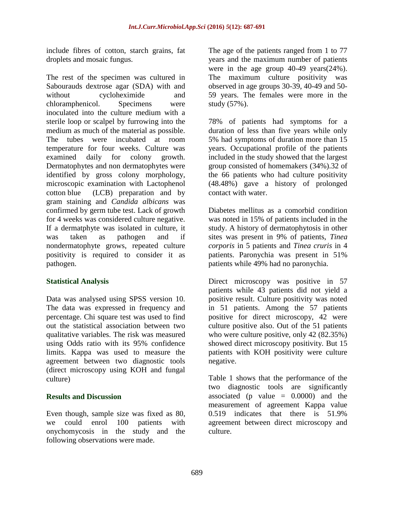include fibres of cotton, starch grains, fat droplets and mosaic fungus.

The rest of the specimen was cultured in Sabourauds dextrose agar (SDA) with and without cycloheximide and chloramphenicol. Specimens were inoculated into the culture medium with a sterile loop or scalpel by furrowing into the medium as much of the material as possible. The tubes were incubated at room temperature for four weeks. Culture was examined daily for colony growth. Dermatophytes and non dermatophytes were identified by gross colony morphology, microscopic examination with Lactophenol cotton blue (LCB) preparation and by gram staining and *Candida albicans* was confirmed by germ tube test. Lack of growth for 4 weeks was considered culture negative. If a dermatphyte was isolated in culture, it was taken as pathogen and if nondermatophyte grows, repeated culture positivity is required to consider it as pathogen.

## **Statistical Analysis**

Data was analysed using SPSS version 10. The data was expressed in frequency and percentage. Chi square test was used to find out the statistical association between two qualitative variables. The risk was measured using Odds ratio with its 95% confidence limits. Kappa was used to measure the agreement between two diagnostic tools (direct microscopy using KOH and fungal culture)

## **Results and Discussion**

Even though, sample size was fixed as 80, we could enrol 100 patients with onychomycosis in the study and the following observations were made.

The age of the patients ranged from 1 to 77 years and the maximum number of patients were in the age group 40-49 years(24%). The maximum culture positivity was observed in age groups 30-39, 40-49 and 50- 59 years. The females were more in the study (57%).

78% of patients had symptoms for a duration of less than five years while only 5% had symptoms of duration more than 15 years. Occupational profile of the patients included in the study showed that the largest group consisted of homemakers (34%).32 of the 66 patients who had culture positivity (48.48%) gave a history of prolonged contact with water.

Diabetes mellitus as a comorbid condition was noted in 15% of patients included in the study. A history of dermatophytosis in other sites was present in 9% of patients, *Tinea corporis* in 5 patients and *Tinea cruris* in 4 patients. Paronychia was present in 51% patients while 49% had no paronychia.

Direct microscopy was positive in 57 patients while 43 patients did not yield a positive result. Culture positivity was noted in 51 patients. Among the 57 patients positive for direct microscopy, 42 were culture positive also. Out of the 51 patients who were culture positive, only 42 (82.35%) showed direct microscopy positivity. But 15 patients with KOH positivity were culture negative.

Table 1 shows that the performance of the two diagnostic tools are significantly associated (p value  $= 0.0000$ ) and the measurement of agreement Kappa value 0.519 indicates that there is 51.9% agreement between direct microscopy and culture.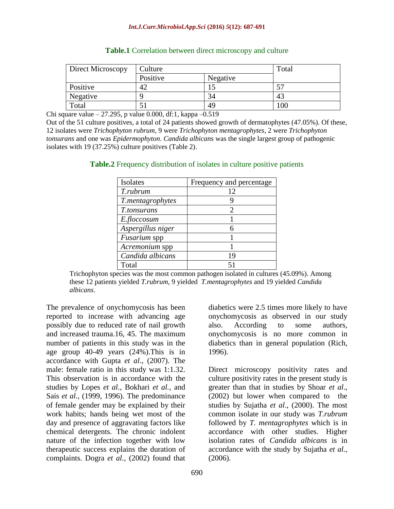#### *Int.J.Curr.Microbiol.App.Sci* **(2016)** *5***(12): 687-691**

| Direct Microscopy | Culture  |          | Total |
|-------------------|----------|----------|-------|
|                   | Positive | Negative |       |
| Positive          |          |          | ٣Π    |
| Negative          |          | 34       | 43    |
| Total             |          | 49       | 100   |

#### **Table.1** Correlation between direct microscopy and culture

Chi square value – 27.295, p value 0.000, df:1, kappa – 0.519

Out of the 51 culture positives, a total of 24 patients showed growth of dermatophytes (47.05%). Of these, 12 isolates were *Trichophyton rubrum*, 9 were *Trichophyton mentagrophytes*, 2 were *Trichophyton tonsurans* and one was *Epidermophyton*. *Candida albicans* was the single largest group of pathogenic isolates with 19 (37.25%) culture positives (Table 2).

| Isolates            | Frequency and percentage |
|---------------------|--------------------------|
| T.rubrum            | 12                       |
| T.mentagrophytes    |                          |
| T.tonsurans         | $\mathcal{D}_{\cdot}$    |
| E.floccosum         |                          |
| Aspergillus niger   | 6                        |
| <i>Fusarium</i> spp |                          |
| Acremonium spp      |                          |
| Candida albicans    | 19                       |
| Total               |                          |

**Table.2** Frequency distribution of isolates in culture positive patients

Trichophyton species was the most common pathogen isolated in cultures (45.09%). Among these 12 patients yielded *T.rubrum*, 9 yielded *T.mentagrophytes* and 19 yielded *Candida albicans*.

The prevalence of onychomycosis has been reported to increase with advancing age possibly due to reduced rate of nail growth and increased trauma.16, 45. The maximum number of patients in this study was in the age group 40-49 years (24%).This is in accordance with Gupta *et al*., (2007). The male: female ratio in this study was 1:1.32. This observation is in accordance with the studies by Lopes *et al.*, Bokhari *et al.,* and Sais *et al.,* (1999, 1996). The predominance of female gender may be explained by their work habits; hands being wet most of the day and presence of aggravating factors like chemical detergents. The chronic indolent nature of the infection together with low therapeutic success explains the duration of complaints. Dogra *et al.,* (2002) found that

diabetics were 2.5 times more likely to have onychomycosis as observed in our study also. According to some authors, onychomycosis is no more common in diabetics than in general population (Rich, 1996).

Direct microscopy positivity rates and culture positivity rates in the present study is greater than that in studies by Shoar *et al*., (2002) but lower when compared to the studies by Sujatha *et al*., (2000). The most common isolate in our study was *T.rubrum* followed by *T. mentagrophytes* which is in accordance with other studies. Higher isolation rates of *Candida albicans* is in accordance with the study by Sujatha *et al.,*  (2006).